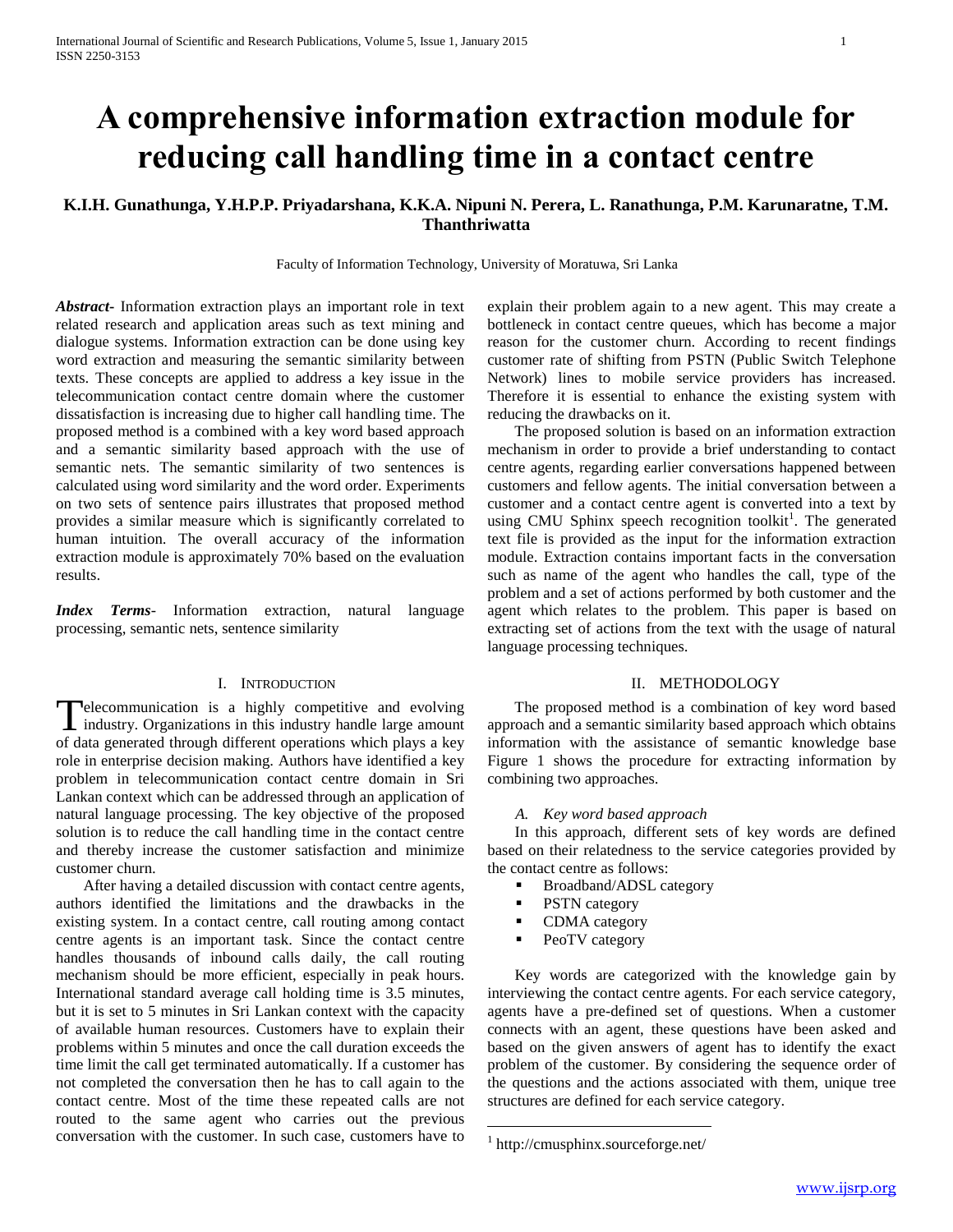# **A comprehensive information extraction module for reducing call handling time in a contact centre**

## **K.I.H. Gunathunga, Y.H.P.P. Priyadarshana, K.K.A. Nipuni N. Perera, L. Ranathunga, P.M. Karunaratne, T.M. Thanthriwatta**

Faculty of Information Technology, University of Moratuwa, Sri Lanka

*Abstract***-** Information extraction plays an important role in text related research and application areas such as text mining and dialogue systems. Information extraction can be done using key word extraction and measuring the semantic similarity between texts. These concepts are applied to address a key issue in the telecommunication contact centre domain where the customer dissatisfaction is increasing due to higher call handling time. The proposed method is a combined with a key word based approach and a semantic similarity based approach with the use of semantic nets. The semantic similarity of two sentences is calculated using word similarity and the word order. Experiments on two sets of sentence pairs illustrates that proposed method provides a similar measure which is significantly correlated to human intuition. The overall accuracy of the information extraction module is approximately 70% based on the evaluation results.

*Index Terms*- Information extraction, natural language processing, semantic nets, sentence similarity

## I. INTRODUCTION

elecommunication is a highly competitive and evolving Telecommunication is a highly competitive and evolving<br>industry. Organizations in this industry handle large amount of data generated through different operations which plays a key role in enterprise decision making. Authors have identified a key problem in telecommunication contact centre domain in Sri Lankan context which can be addressed through an application of natural language processing. The key objective of the proposed solution is to reduce the call handling time in the contact centre and thereby increase the customer satisfaction and minimize customer churn.

 After having a detailed discussion with contact centre agents, authors identified the limitations and the drawbacks in the existing system. In a contact centre, call routing among contact centre agents is an important task. Since the contact centre handles thousands of inbound calls daily, the call routing mechanism should be more efficient, especially in peak hours. International standard average call holding time is 3.5 minutes, but it is set to 5 minutes in Sri Lankan context with the capacity of available human resources. Customers have to explain their problems within 5 minutes and once the call duration exceeds the time limit the call get terminated automatically. If a customer has not completed the conversation then he has to call again to the contact centre. Most of the time these repeated calls are not routed to the same agent who carries out the previous conversation with the customer. In such case, customers have to

explain their problem again to a new agent. This may create a bottleneck in contact centre queues, which has become a major reason for the customer churn. According to recent findings customer rate of shifting from PSTN (Public Switch Telephone Network) lines to mobile service providers has increased. Therefore it is essential to enhance the existing system with reducing the drawbacks on it.

 The proposed solution is based on an information extraction mechanism in order to provide a brief understanding to contact centre agents, regarding earlier conversations happened between customers and fellow agents. The initial conversation between a customer and a contact centre agent is converted into a text by using CMU Sphinx speech recognition toolkit<sup>1</sup>. The generated text file is provided as the input for the information extraction module. Extraction contains important facts in the conversation such as name of the agent who handles the call, type of the problem and a set of actions performed by both customer and the agent which relates to the problem. This paper is based on extracting set of actions from the text with the usage of natural language processing techniques.

## II. METHODOLOGY

 The proposed method is a combination of key word based approach and a semantic similarity based approach which obtains information with the assistance of semantic knowledge base Figure 1 shows the procedure for extracting information by combining two approaches.

### *A. Key word based approach*

 In this approach, different sets of key words are defined based on their relatedness to the service categories provided by the contact centre as follows:

- Broadband/ADSL category
- **PSTN** category
- CDMA category
- PeoTV category

 Key words are categorized with the knowledge gain by interviewing the contact centre agents. For each service category, agents have a pre-defined set of questions. When a customer connects with an agent, these questions have been asked and based on the given answers of agent has to identify the exact problem of the customer. By considering the sequence order of the questions and the actions associated with them, unique tree structures are defined for each service category.

 $\overline{a}$ 

<sup>1</sup> http://cmusphinx.sourceforge.net/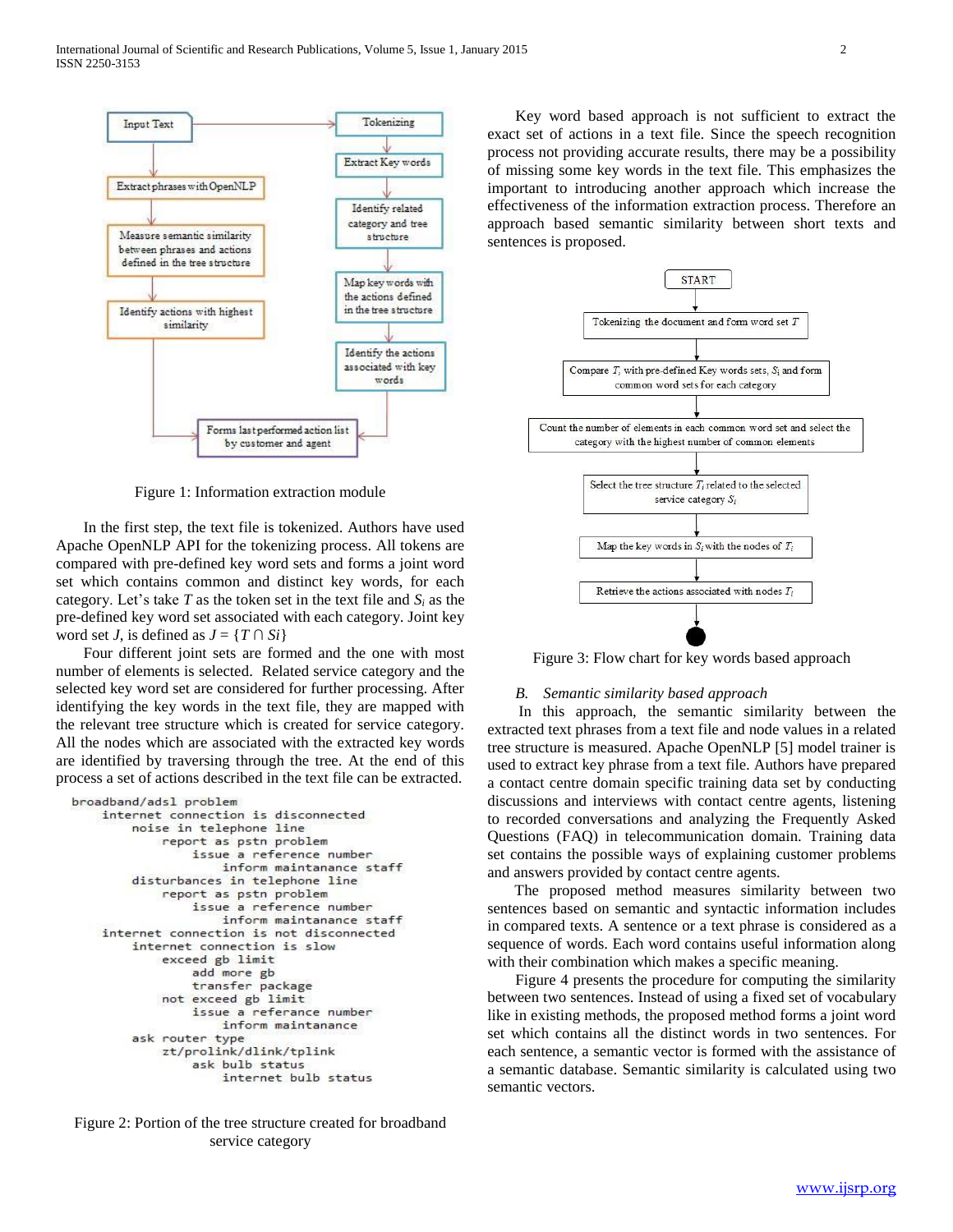

Figure 1: Information extraction module

 In the first step, the text file is tokenized. Authors have used Apache OpenNLP API for the tokenizing process. All tokens are compared with pre-defined key word sets and forms a joint word set which contains common and distinct key words, for each category. Let's take  $T$  as the token set in the text file and  $S_i$  as the pre-defined key word set associated with each category. Joint key word set *J*, is defined as  $J = \{T \cap Si\}$ 

 Four different joint sets are formed and the one with most number of elements is selected. Related service category and the selected key word set are considered for further processing. After identifying the key words in the text file, they are mapped with the relevant tree structure which is created for service category. All the nodes which are associated with the extracted key words are identified by traversing through the tree. At the end of this process a set of actions described in the text file can be extracted.

```
broadband/adsl problem
internet connection is disconnected
    noise in telephone line
        report as pstn problem
            issue a reference number
               inform maintanance staff
    disturbances in telephone line
        report as pstn problem
            issue a reference number
                inform maintanance staff
internet connection is not disconnected
    internet connection is slow
        exceed gb limit
            add more gb
            transfer package
        not exceed gb limit
            issue a referance number
                inform maintanance
    ask router type
        zt/prolink/dlink/tplink
            ask bulb status
                internet bulb status
```
Figure 2: Portion of the tree structure created for broadband service category

Key word based approach is not sufficient to extract the exact set of actions in a text file. Since the speech recognition process not providing accurate results, there may be a possibility of missing some key words in the text file. This emphasizes the important to introducing another approach which increase the effectiveness of the information extraction process. Therefore an approach based semantic similarity between short texts and sentences is proposed.



Figure 3: Flow chart for key words based approach

## *B. Semantic similarity based approach*

 In this approach, the semantic similarity between the extracted text phrases from a text file and node values in a related tree structure is measured. Apache OpenNLP [5] model trainer is used to extract key phrase from a text file. Authors have prepared a contact centre domain specific training data set by conducting discussions and interviews with contact centre agents, listening to recorded conversations and analyzing the Frequently Asked Questions (FAQ) in telecommunication domain. Training data set contains the possible ways of explaining customer problems and answers provided by contact centre agents.

 The proposed method measures similarity between two sentences based on semantic and syntactic information includes in compared texts. A sentence or a text phrase is considered as a sequence of words. Each word contains useful information along with their combination which makes a specific meaning.

Figure 4 presents the procedure for computing the similarity between two sentences. Instead of using a fixed set of vocabulary like in existing methods, the proposed method forms a joint word set which contains all the distinct words in two sentences. For each sentence, a semantic vector is formed with the assistance of a semantic database. Semantic similarity is calculated using two semantic vectors.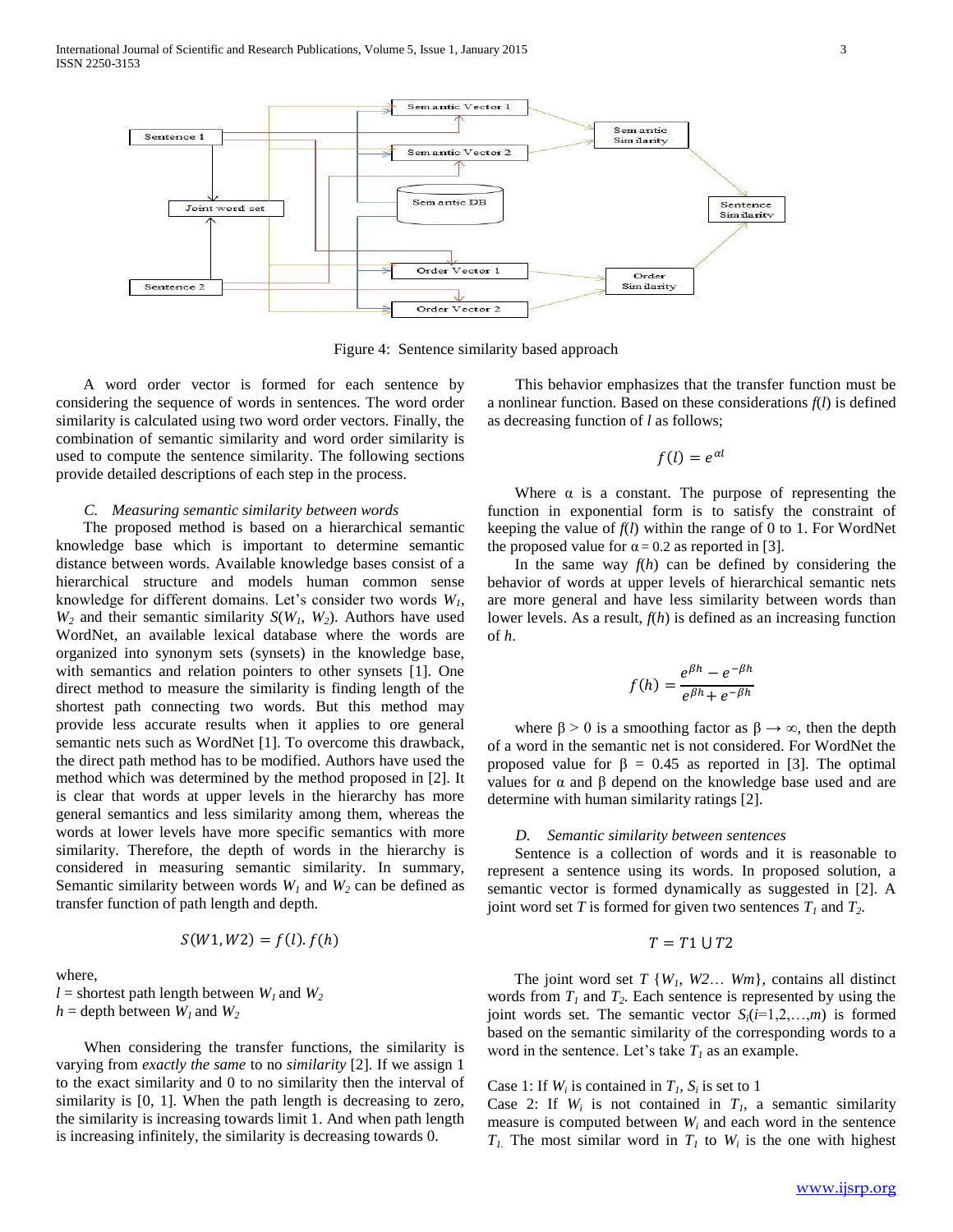

Figure 4: Sentence similarity based approach

 A word order vector is formed for each sentence by considering the sequence of words in sentences. The word order similarity is calculated using two word order vectors. Finally, the combination of semantic similarity and word order similarity is used to compute the sentence similarity. The following sections provide detailed descriptions of each step in the process.

## *C. Measuring semantic similarity between words*

 The proposed method is based on a hierarchical semantic knowledge base which is important to determine semantic distance between words. Available knowledge bases consist of a hierarchical structure and models human common sense knowledge for different domains. Let's consider two words *W1*,  $W_2$  and their semantic similarity  $S(W_1, W_2)$ . Authors have used WordNet, an available lexical database where the words are organized into synonym sets (synsets) in the knowledge base, with semantics and relation pointers to other synsets [1]. One direct method to measure the similarity is finding length of the shortest path connecting two words. But this method may provide less accurate results when it applies to ore general semantic nets such as WordNet [1]. To overcome this drawback, the direct path method has to be modified. Authors have used the method which was determined by the method proposed in [2]. It is clear that words at upper levels in the hierarchy has more general semantics and less similarity among them, whereas the words at lower levels have more specific semantics with more similarity. Therefore, the depth of words in the hierarchy is considered in measuring semantic similarity. In summary, Semantic similarity between words  $W_1$  and  $W_2$  can be defined as transfer function of path length and depth.

$$
S(W1, W2) = f(l). f(h)
$$

where,

 $l =$  shortest path length between  $W_l$  and  $W_2$  $h =$  depth between  $W_l$  and  $W_2$ 

When considering the transfer functions, the similarity is varying from *exactly the same* to no *similarity* [2]. If we assign 1 to the exact similarity and 0 to no similarity then the interval of similarity is [0, 1]. When the path length is decreasing to zero, the similarity is increasing towards limit 1. And when path length is increasing infinitely, the similarity is decreasing towards 0.

This behavior emphasizes that the transfer function must be a nonlinear function. Based on these considerations *f*(*l*) is defined as decreasing function of *l* as follows;

$$
f(l) = e^{\alpha l}
$$

Where  $\alpha$  is a constant. The purpose of representing the function in exponential form is to satisfy the constraint of keeping the value of  $f(l)$  within the range of 0 to 1. For WordNet the proposed value for  $\alpha = 0.2$  as reported in [3].

In the same way  $f(h)$  can be defined by considering the behavior of words at upper levels of hierarchical semantic nets are more general and have less similarity between words than lower levels. As a result, *f*(*h*) is defined as an increasing function of *h*.

$$
f(h) = \frac{e^{\beta h} - e^{-\beta h}}{e^{\beta h} + e^{-\beta h}}
$$

where  $\beta > 0$  is a smoothing factor as  $\beta \rightarrow \infty$ , then the depth of a word in the semantic net is not considered. For WordNet the proposed value for  $\beta = 0.45$  as reported in [3]. The optimal values for α and β depend on the knowledge base used and are determine with human similarity ratings [2].

#### *D. Semantic similarity between sentences*

 Sentence is a collection of words and it is reasonable to represent a sentence using its words. In proposed solution, a semantic vector is formed dynamically as suggested in [2]. A joint word set *T* is formed for given two sentences  $T<sub>1</sub>$  and  $T<sub>2</sub>$ .

## $T = T1 \cup T2$

 The joint word set *T* {*W1*, *W2*… *Wm*}, contains all distinct words from  $T_1$  and  $T_2$ . Each sentence is represented by using the joint words set. The semantic vector  $S_i(i=1,2,...,m)$  is formed based on the semantic similarity of the corresponding words to a word in the sentence. Let's take  $T<sub>l</sub>$  as an example.

## Case 1: If  $W_i$  is contained in  $T_i$ ,  $S_i$  is set to 1

Case 2: If  $W_i$  is not contained in  $T_i$ , a semantic similarity measure is computed between *W<sup>i</sup>* and each word in the sentence *T*<sub>*I*</sub>. The most similar word in  $T<sub>I</sub>$  to  $W<sub>i</sub>$  is the one with highest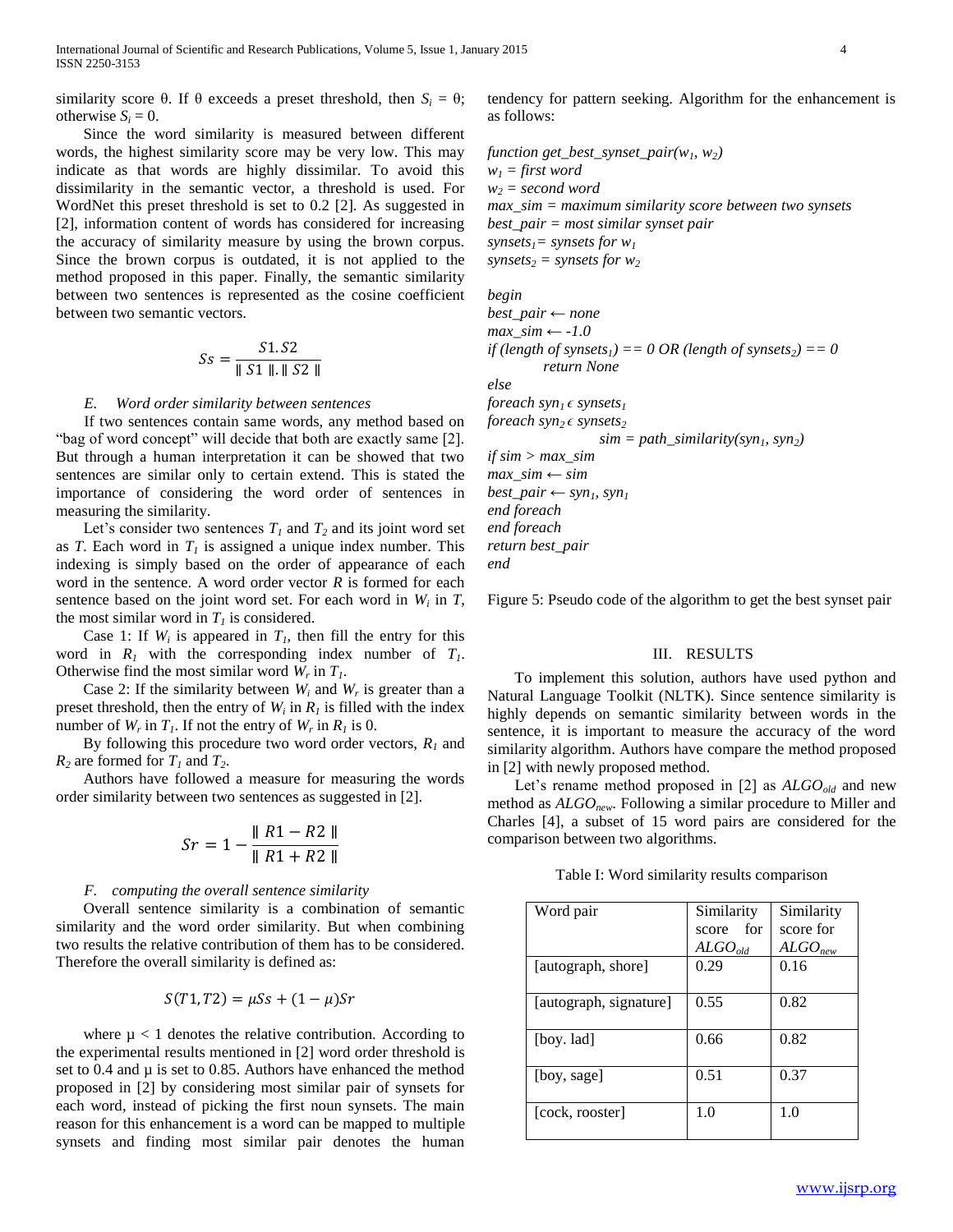similarity score  $\theta$ . If  $\theta$  exceeds a preset threshold, then  $S_i = \theta$ ; otherwise  $S_i = 0$ .

 Since the word similarity is measured between different words, the highest similarity score may be very low. This may indicate as that words are highly dissimilar. To avoid this dissimilarity in the semantic vector, a threshold is used. For WordNet this preset threshold is set to 0.2 [2]. As suggested in [2], information content of words has considered for increasing the accuracy of similarity measure by using the brown corpus. Since the brown corpus is outdated, it is not applied to the method proposed in this paper. Finally, the semantic similarity between two sentences is represented as the cosine coefficient between two semantic vectors.

$$
Ss = \frac{S1.S2}{\parallel S1 \parallel . \parallel S2 \parallel}
$$

#### *E. Word order similarity between sentences*

If two sentences contain same words, any method based on "bag of word concept" will decide that both are exactly same [2]. But through a human interpretation it can be showed that two sentences are similar only to certain extend. This is stated the importance of considering the word order of sentences in measuring the similarity.

Let's consider two sentences  $T_I$  and  $T_2$  and its joint word set as *T*. Each word in  $T<sub>1</sub>$  is assigned a unique index number. This indexing is simply based on the order of appearance of each word in the sentence. A word order vector *R* is formed for each sentence based on the joint word set. For each word in  $W_i$  in  $T$ , the most similar word in  $T_I$  is considered.

Case 1: If  $W_i$  is appeared in  $T_i$ , then fill the entry for this word in  $R_1$  with the corresponding index number of  $T_1$ . Otherwise find the most similar word  $W_r$  in  $T_l$ .

Case 2: If the similarity between  $W_i$  and  $W_r$  is greater than a preset threshold, then the entry of  $W_i$  in  $R_i$  is filled with the index number of  $W_r$  in  $T_l$ . If not the entry of  $W_r$  in  $R_l$  is 0.

By following this procedure two word order vectors,  $R_l$  and  $R_2$  are formed for  $T_1$  and  $T_2$ .

 Authors have followed a measure for measuring the words order similarity between two sentences as suggested in [2].

$$
Sr = 1 - \frac{\|R1 - R2\|}{\|R1 + R2\|}
$$

#### *F. computing the overall sentence similarity*

 Overall sentence similarity is a combination of semantic similarity and the word order similarity. But when combining two results the relative contribution of them has to be considered. Therefore the overall similarity is defined as:

$$
S(T1, T2) = \mu Ss + (1 - \mu)Sr
$$

where  $\mu$  < 1 denotes the relative contribution. According to the experimental results mentioned in [2] word order threshold is set to  $0.4$  and  $\mu$  is set to 0.85. Authors have enhanced the method proposed in [2] by considering most similar pair of synsets for each word, instead of picking the first noun synsets. The main reason for this enhancement is a word can be mapped to multiple synsets and finding most similar pair denotes the human

tendency for pattern seeking. Algorithm for the enhancement is as follows:

*function get\_best\_synset\_pair(w1, w2)*  $w_1 = \text{first word}$  $w_2$  *= second word max\_sim = maximum similarity score between two synsets best\_pair = most similar synset pair synsets1= synsets for w<sup>1</sup>*  $synsets<sub>2</sub> = synsets for  $w<sub>2</sub>$$ 

*begin* 

*best\_pair ← none max\_sim ← -1.0 if* (length of synsets<sub>1</sub>) == 0 OR (length of synsets<sub>2</sub>) == 0 *return None*

*else*

*foreach*  $syn_1 \in synsets_1$ 

*foreach*  $syn_2 \in synsets_2$ 

 $sim = path\_similarity(syn<sub>1</sub>, syn<sub>2</sub>)$ 

*if sim > max\_sim max\_sim ← sim*  $best\_pair \leftarrow syn_I, syn_I$ *end foreach end foreach return best\_pair end*

Figure 5: Pseudo code of the algorithm to get the best synset pair

#### III. RESULTS

 To implement this solution, authors have used python and Natural Language Toolkit (NLTK). Since sentence similarity is highly depends on semantic similarity between words in the sentence, it is important to measure the accuracy of the word similarity algorithm. Authors have compare the method proposed in [2] with newly proposed method.

 Let's rename method proposed in [2] as *ALGOold* and new method as *ALGOnew*. Following a similar procedure to Miller and Charles [4], a subset of 15 word pairs are considered for the comparison between two algorithms.

Table I: Word similarity results comparison

| Word pair              | Similarity   | Similarity          |
|------------------------|--------------|---------------------|
|                        | score for    | score for           |
|                        | $ALGO_{old}$ | ALGO <sub>new</sub> |
| [autograph, shore]     | 0.29         | 0.16                |
|                        |              |                     |
| [autograph, signature] | 0.55         | 0.82                |
|                        |              |                     |
| [boy. lad]             | 0.66         | 0.82                |
|                        |              |                     |
| [boy, sage]            | 0.51         | 0.37                |
|                        |              |                     |
| [cock, rooster]        | 1.0          | 1.0                 |
|                        |              |                     |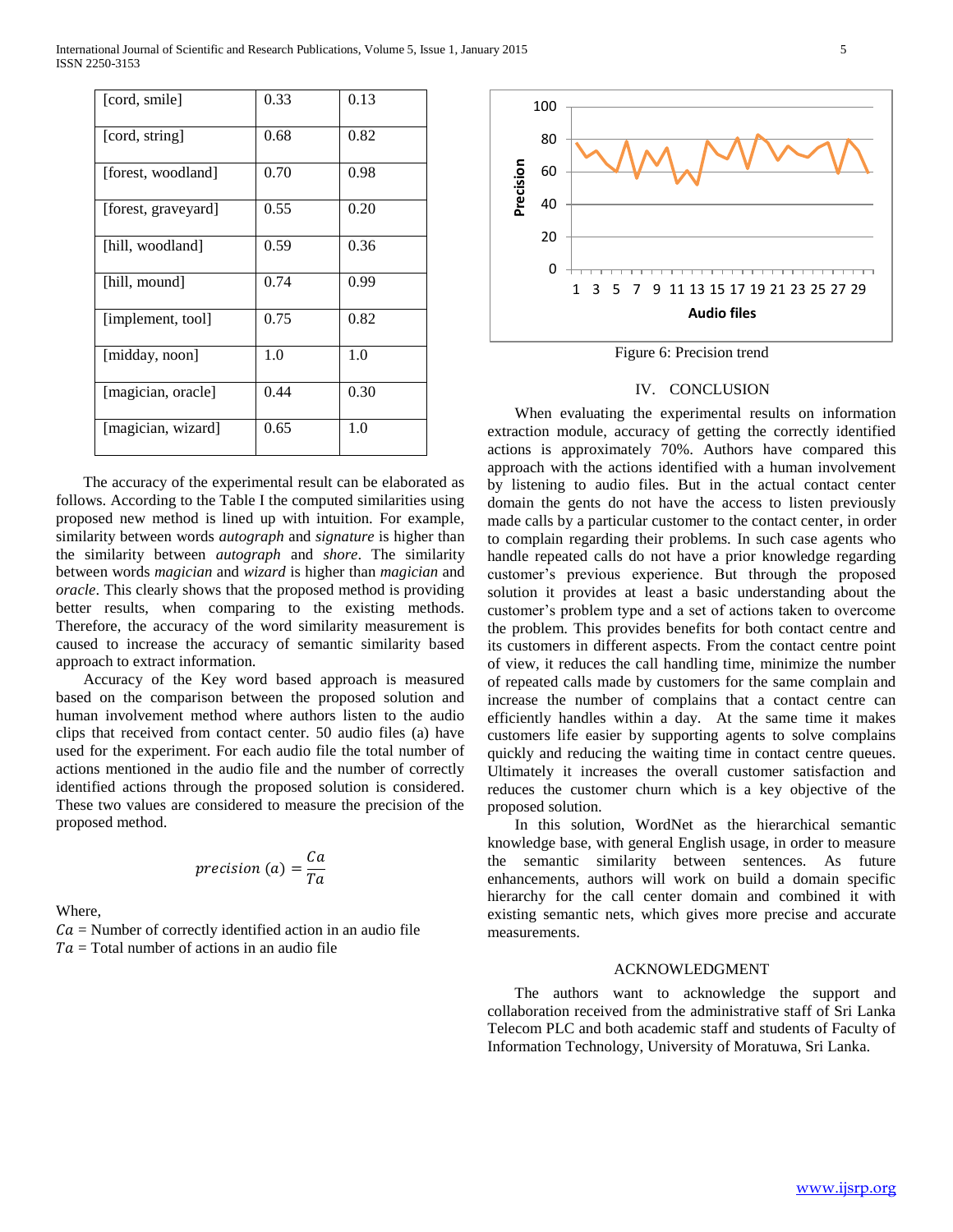International Journal of Scientific and Research Publications, Volume 5, Issue 1, January 2015 5 ISSN 2250-3153

| [cord, smile]       | 0.33 | 0.13 |
|---------------------|------|------|
| [cord, string]      | 0.68 | 0.82 |
| [forest, woodland]  | 0.70 | 0.98 |
| [forest, graveyard] | 0.55 | 0.20 |
| [hill, woodland]    | 0.59 | 0.36 |
| [hill, mound]       | 0.74 | 0.99 |
| [implement, tool]   | 0.75 | 0.82 |
| [midday, noon]      | 1.0  | 1.0  |
| [magician, oracle]  | 0.44 | 0.30 |
| [magician, wizard]  | 0.65 | 1.0  |

 The accuracy of the experimental result can be elaborated as follows. According to the Table I the computed similarities using proposed new method is lined up with intuition. For example, similarity between words *autograph* and *signature* is higher than the similarity between *autograph* and *shore*. The similarity between words *magician* and *wizard* is higher than *magician* and *oracle*. This clearly shows that the proposed method is providing better results, when comparing to the existing methods. Therefore, the accuracy of the word similarity measurement is caused to increase the accuracy of semantic similarity based approach to extract information.

 Accuracy of the Key word based approach is measured based on the comparison between the proposed solution and human involvement method where authors listen to the audio clips that received from contact center. 50 audio files (a) have used for the experiment. For each audio file the total number of actions mentioned in the audio file and the number of correctly identified actions through the proposed solution is considered. These two values are considered to measure the precision of the proposed method.

$$
precision (a) = \frac{Ca}{Ta}
$$

Where,

 $Ca =$  Number of correctly identified action in an audio file  $Ta = Total number of actions in an audio file$ 



Figure 6: Precision trend

## IV. CONCLUSION

 When evaluating the experimental results on information extraction module, accuracy of getting the correctly identified actions is approximately 70%. Authors have compared this approach with the actions identified with a human involvement by listening to audio files. But in the actual contact center domain the gents do not have the access to listen previously made calls by a particular customer to the contact center, in order to complain regarding their problems. In such case agents who handle repeated calls do not have a prior knowledge regarding customer's previous experience. But through the proposed solution it provides at least a basic understanding about the customer's problem type and a set of actions taken to overcome the problem. This provides benefits for both contact centre and its customers in different aspects. From the contact centre point of view, it reduces the call handling time, minimize the number of repeated calls made by customers for the same complain and increase the number of complains that a contact centre can efficiently handles within a day. At the same time it makes customers life easier by supporting agents to solve complains quickly and reducing the waiting time in contact centre queues. Ultimately it increases the overall customer satisfaction and reduces the customer churn which is a key objective of the proposed solution.

 In this solution, WordNet as the hierarchical semantic knowledge base, with general English usage, in order to measure the semantic similarity between sentences. As future enhancements, authors will work on build a domain specific hierarchy for the call center domain and combined it with existing semantic nets, which gives more precise and accurate measurements.

#### ACKNOWLEDGMENT

 The authors want to acknowledge the support and collaboration received from the administrative staff of Sri Lanka Telecom PLC and both academic staff and students of Faculty of Information Technology, University of Moratuwa, Sri Lanka.